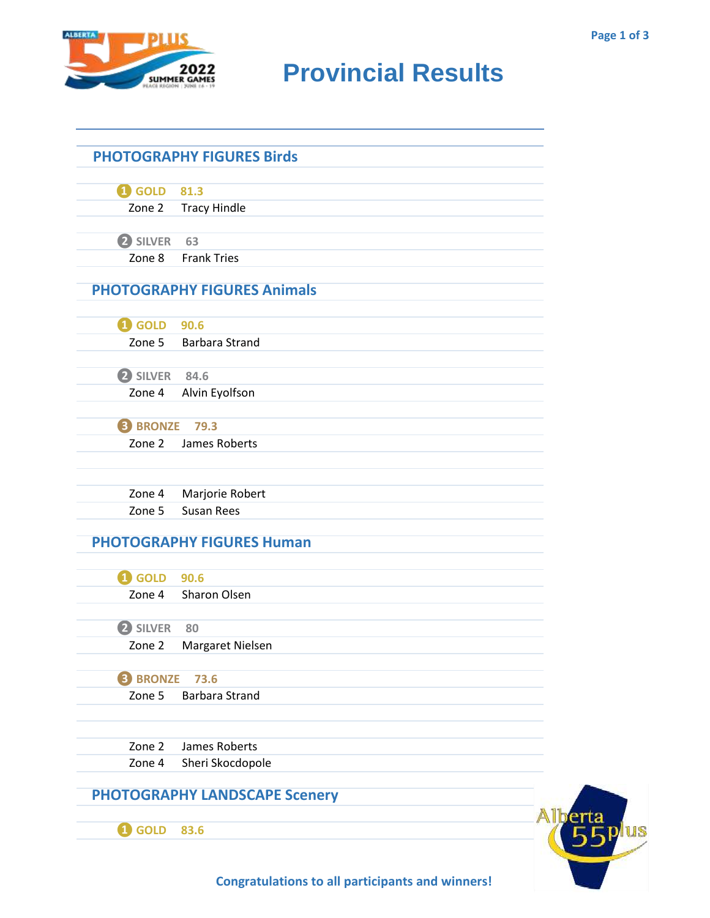**Fplus** 



## **RUMARE 2022** Provincial Results

|                      | <b>PHOTOGRAPHY FIGURES Birds</b>     |  |
|----------------------|--------------------------------------|--|
|                      |                                      |  |
| 4 GOLD 81.3          |                                      |  |
|                      | Zone 2 Tracy Hindle                  |  |
|                      |                                      |  |
| 2 SILVER             | 63                                   |  |
| Zone 8               | <b>Frank Tries</b>                   |  |
|                      | <b>PHOTOGRAPHY FIGURES Animals</b>   |  |
|                      |                                      |  |
| <b>1</b> GOLD 90.6   |                                      |  |
|                      | Zone 5 Barbara Strand                |  |
|                      |                                      |  |
| 2 SILVER 84.6        |                                      |  |
| Zone 4               | Alvin Eyolfson                       |  |
|                      |                                      |  |
| <b>3 BRONZE 79.3</b> |                                      |  |
| Zone 2               | James Roberts                        |  |
|                      |                                      |  |
| Zone 4               | Marjorie Robert                      |  |
| Zone 5               | <b>Susan Rees</b>                    |  |
|                      | <b>PHOTOGRAPHY FIGURES Human</b>     |  |
|                      |                                      |  |
| <b>1</b> GOLD 90.6   |                                      |  |
|                      | Zone 4 Sharon Olsen                  |  |
| 2 SILVER             | 80                                   |  |
|                      | Zone 2 Margaret Nielsen              |  |
|                      |                                      |  |
| <b>8 BRONZE</b>      | 73.6                                 |  |
| Zone 5               | <b>Barbara Strand</b>                |  |
| Zone 2               | James Roberts                        |  |
| Zone 4               | Sheri Skocdopole                     |  |
|                      |                                      |  |
|                      | <b>PHOTOGRAPHY LANDSCAPE Scenery</b> |  |
| <b>i</b> GOLD        | 83.6                                 |  |
|                      |                                      |  |

**Congratulations to all participants and winners!**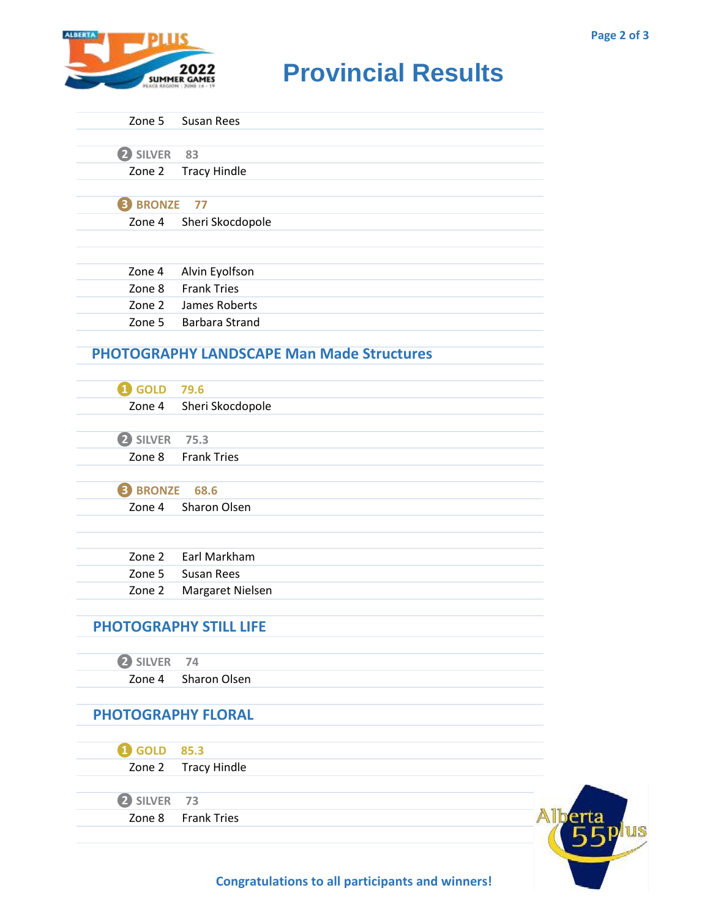

## **RUMARE 2022** Provincial Results

|                           | Zone 5 Susan Rees                                |  |
|---------------------------|--------------------------------------------------|--|
| 2 SILVER                  | 83                                               |  |
| Zone 2                    | Tracy Hindle                                     |  |
|                           |                                                  |  |
| <b>B</b> BRONZE           | 77                                               |  |
| Zone 4                    | Sheri Skocdopole                                 |  |
|                           |                                                  |  |
|                           |                                                  |  |
| Zone 4                    | Alvin Eyolfson                                   |  |
|                           | Zone 8 Frank Tries                               |  |
|                           | Zone 2 James Roberts                             |  |
|                           | Zone 5 Barbara Strand                            |  |
|                           | <b>PHOTOGRAPHY LANDSCAPE Man Made Structures</b> |  |
|                           |                                                  |  |
| <b>1</b> GOLD 79.6        |                                                  |  |
|                           | Zone 4 Sheri Skocdopole                          |  |
|                           |                                                  |  |
| 2 SILVER 75.3             |                                                  |  |
|                           | Zone 8 Frank Tries                               |  |
| <b>B</b> BRONZE           | 68.6                                             |  |
| Zone 4                    | Sharon Olsen                                     |  |
|                           |                                                  |  |
|                           |                                                  |  |
| Zone 2                    | Earl Markham                                     |  |
| Zone 5                    | <b>Susan Rees</b>                                |  |
| Zone 2                    | Margaret Nielsen                                 |  |
|                           |                                                  |  |
|                           | <b>PHOTOGRAPHY STILL LIFE</b>                    |  |
|                           |                                                  |  |
| 2 SILVER<br>Zone 4        | 74<br><b>Sharon Olsen</b>                        |  |
|                           |                                                  |  |
| <b>PHOTOGRAPHY FLORAL</b> |                                                  |  |
|                           |                                                  |  |
| <b>1</b> GOLD             | 85.3                                             |  |
| Zone 2                    | <b>Tracy Hindle</b>                              |  |
|                           |                                                  |  |
| 2 SILVER                  | 73                                               |  |
| Zone 8                    | <b>Frank Tries</b>                               |  |
|                           |                                                  |  |